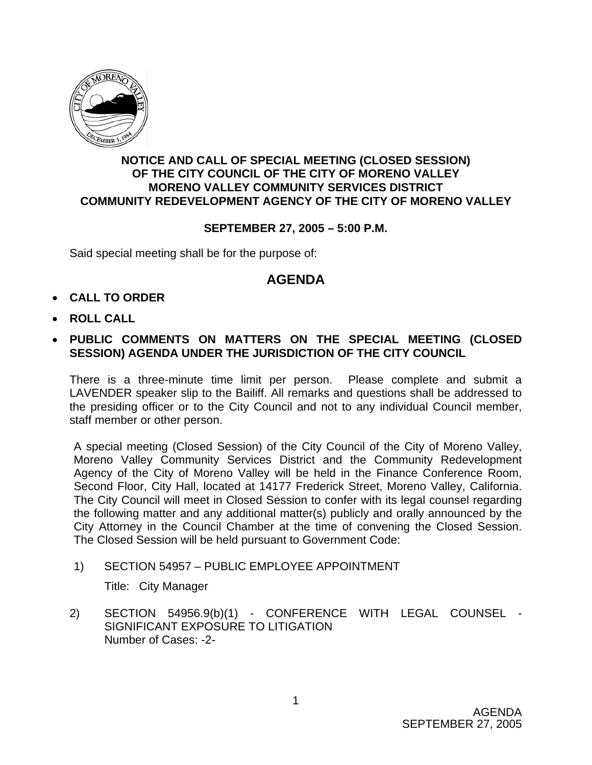

## **NOTICE AND CALL OF SPECIAL MEETING (CLOSED SESSION) OF THE CITY COUNCIL OF THE CITY OF MORENO VALLEY MORENO VALLEY COMMUNITY SERVICES DISTRICT COMMUNITY REDEVELOPMENT AGENCY OF THE CITY OF MORENO VALLEY**

## **SEPTEMBER 27, 2005 – 5:00 P.M.**

Said special meeting shall be for the purpose of:

## **AGENDA**

- **CALL TO ORDER**
- **ROLL CALL**
- **PUBLIC COMMENTS ON MATTERS ON THE SPECIAL MEETING (CLOSED SESSION) AGENDA UNDER THE JURISDICTION OF THE CITY COUNCIL**

There is a three-minute time limit per person. Please complete and submit a LAVENDER speaker slip to the Bailiff. All remarks and questions shall be addressed to the presiding officer or to the City Council and not to any individual Council member, staff member or other person.

A special meeting (Closed Session) of the City Council of the City of Moreno Valley, Moreno Valley Community Services District and the Community Redevelopment Agency of the City of Moreno Valley will be held in the Finance Conference Room, Second Floor, City Hall, located at 14177 Frederick Street, Moreno Valley, California. The City Council will meet in Closed Session to confer with its legal counsel regarding the following matter and any additional matter(s) publicly and orally announced by the City Attorney in the Council Chamber at the time of convening the Closed Session. The Closed Session will be held pursuant to Government Code:

1) SECTION 54957 – PUBLIC EMPLOYEE APPOINTMENT

Title: City Manager

2) SECTION 54956.9(b)(1) - CONFERENCE WITH LEGAL COUNSEL - SIGNIFICANT EXPOSURE TO LITIGATION Number of Cases: -2-